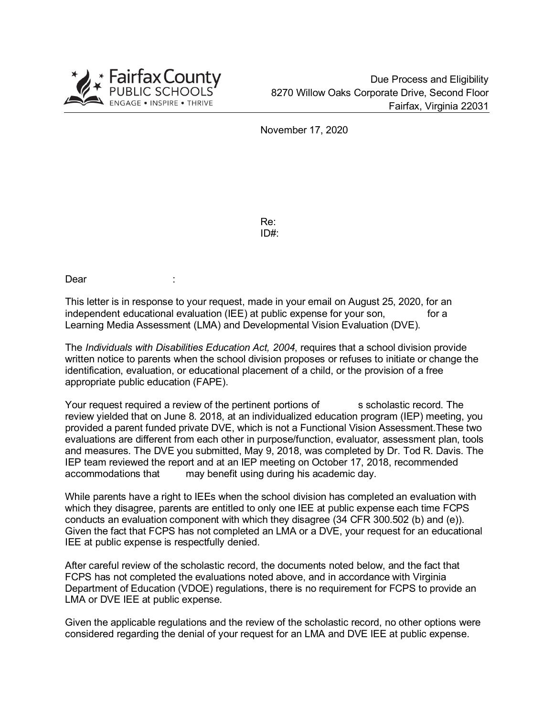

November 17, 2020

Re: ID#:

Dear :

This letter is in response to your request, made in your email on August 25, 2020, for an independent educational evaluation (IEE) at public expense for your son, for a Learning Media Assessment (LMA) and Developmental Vision Evaluation (DVE).

The *Individuals with Disabilities Education Act, 2004*, requires that a school division provide written notice to parents when the school division proposes or refuses to initiate or change the identification, evaluation, or educational placement of a child, or the provision of a free appropriate public education (FAPE).

Your request required a review of the pertinent portions of scholastic record. The review yielded that on June 8. 2018, at an individualized education program (IEP) meeting, you provided a parent funded private DVE, which is not a Functional Vision Assessment.These two evaluations are different from each other in purpose/function, evaluator, assessment plan, tools and measures. The DVE you submitted, May 9, 2018, was completed by Dr. Tod R. Davis. The IEP team reviewed the report and at an IEP meeting on October 17, 2018, recommended accommodations that may benefit using during his academic day.

While parents have a right to IEEs when the school division has completed an evaluation with which they disagree, parents are entitled to only one IEE at public expense each time FCPS conducts an evaluation component with which they disagree (34 CFR 300.502 (b) and (e)). Given the fact that FCPS has not completed an LMA or a DVE, your request for an educational IEE at public expense is respectfully denied.

After careful review of the scholastic record, the documents noted below, and the fact that FCPS has not completed the evaluations noted above, and in accordance with Virginia Department of Education (VDOE) regulations, there is no requirement for FCPS to provide an LMA or DVE IEE at public expense.

Given the applicable regulations and the review of the scholastic record, no other options were considered regarding the denial of your request for an LMA and DVE IEE at public expense.